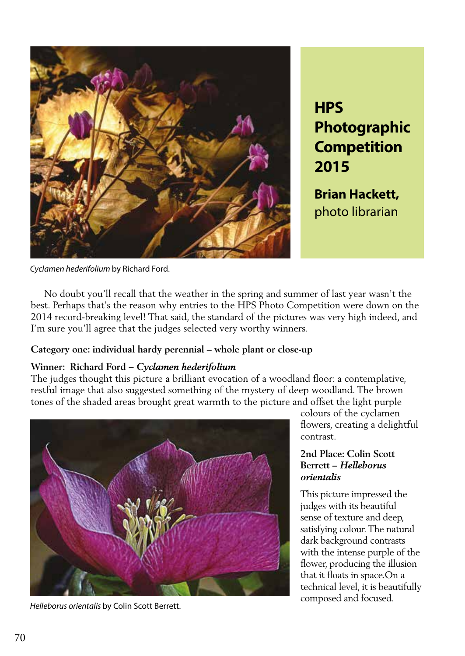

**HPS Photographic Competition 2015**

**Brian Hackett,** photo librarian

*Cyclamen hederifolium* by Richard Ford.

 No doubt you'll recall that the weather in the spring and summer of last year wasn't the best. Perhaps that's the reason why entries to the HPS Photo Competition were down on the 2014 record-breaking level! That said, the standard of the pictures was very high indeed, and I'm sure you'll agree that the judges selected very worthy winners.

## **Category one: individual hardy perennial – whole plant or close-up**

## **Winner: Richard Ford –** *Cyclamen hederifolium*

The judges thought this picture a brilliant evocation of a woodland floor: a contemplative, restful image that also suggested something of the mystery of deep woodland. The brown tones of the shaded areas brought great warmth to the picture and offset the light purple



*Helleborus orientalis* by Colin Scott Berrett.

colours of the cyclamen flowers, creating a delightful contrast.

### **2nd Place: Colin Scott Berrett –** *Helleborus orientalis*

This picture impressed the judges with its beautiful sense of texture and deep, satisfying colour. The natural dark background contrasts with the intense purple of the flower, producing the illusion that it floats in space.On a technical level, it is beautifully composed and focused.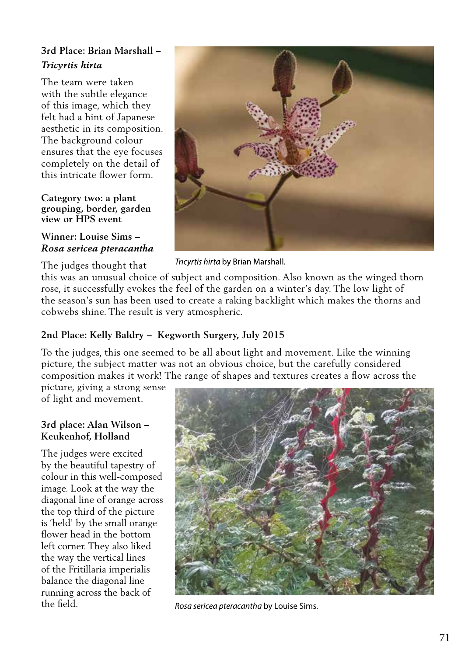# **3rd Place: Brian Marshall –**  *Tricyrtis hirta*

The team were taken with the subtle elegance of this image, which they felt had a hint of Japanese aesthetic in its composition. The background colour ensures that the eye focuses completely on the detail of this intricate flower form.

#### **Category two: a plant grouping, border, garden view or HPS event**

# **Winner: Louise Sims –**  *Rosa sericea pteracantha*



Tricyrtis hirta by Brian Marshall.

The judges thought that this was an unusual choice of subject and composition. Also known as the winged thorn rose, it successfully evokes the feel of the garden on a winter's day. The low light of the season's sun has been used to create a raking backlight which makes the thorns and cobwebs shine. The result is very atmospheric.

# **2nd Place: Kelly Baldry – Kegworth Surgery, July 2015**

To the judges, this one seemed to be all about light and movement. Like the winning picture, the subject matter was not an obvious choice, but the carefully considered composition makes it work! The range of shapes and textures creates a flow across the

picture, giving a strong sense of light and movement.

# **3rd place: Alan Wilson – Keukenhof, Holland**

The judges were excited by the beautiful tapestry of colour in this well-composed image. Look at the way the diagonal line of orange across the top third of the picture is 'held' by the small orange flower head in the bottom left corner. They also liked the way the vertical lines of the Fritillaria imperialis balance the diagonal line running across the back of



the field. *Rosa sericea pteracantha* by Louise Sims.